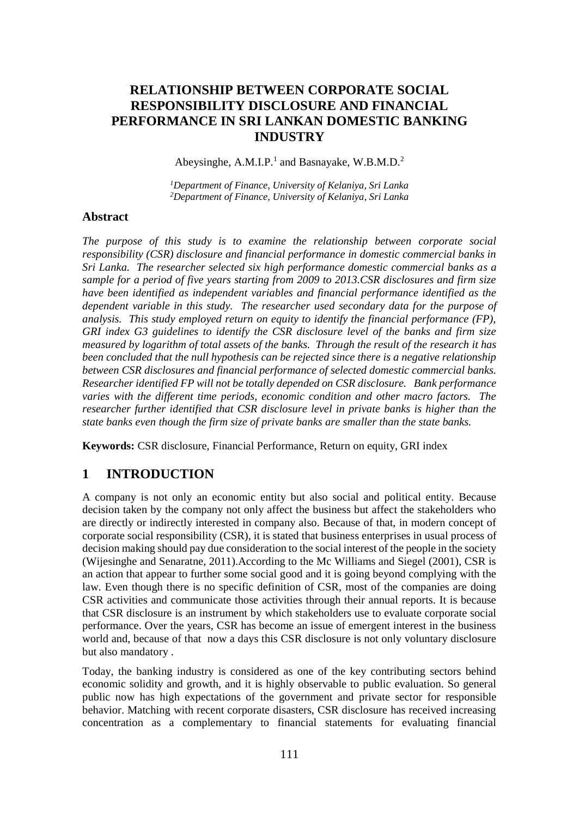# **RELATIONSHIP BETWEEN CORPORATE SOCIAL RESPONSIBILITY DISCLOSURE AND FINANCIAL PERFORMANCE IN SRI LANKAN DOMESTIC BANKING INDUSTRY**

Abeysinghe, A.M.I.P.<sup>1</sup> and Basnayake, W.B.M.D.<sup>2</sup>

*<sup>1</sup>Department of Finance, University of Kelaniya, Sri Lanka <sup>2</sup>Department of Finance, University of Kelaniya, Sri Lanka*

### **Abstract**

*The purpose of this study is to examine the relationship between corporate social responsibility (CSR) disclosure and financial performance in domestic commercial banks in Sri Lanka. The researcher selected six high performance domestic commercial banks as a sample for a period of five years starting from 2009 to 2013.CSR disclosures and firm size have been identified as independent variables and financial performance identified as the dependent variable in this study. The researcher used secondary data for the purpose of analysis. This study employed return on equity to identify the financial performance (FP), GRI index G3 guidelines to identify the CSR disclosure level of the banks and firm size measured by logarithm of total assets of the banks. Through the result of the research it has been concluded that the null hypothesis can be rejected since there is a negative relationship between CSR disclosures and financial performance of selected domestic commercial banks. Researcher identified FP will not be totally depended on CSR disclosure. Bank performance varies with the different time periods, economic condition and other macro factors. The researcher further identified that CSR disclosure level in private banks is higher than the state banks even though the firm size of private banks are smaller than the state banks.* 

**Keywords:** CSR disclosure, Financial Performance, Return on equity, GRI index

# **1 INTRODUCTION**

A company is not only an economic entity but also social and political entity. Because decision taken by the company not only affect the business but affect the stakeholders who are directly or indirectly interested in company also. Because of that, in modern concept of corporate social responsibility (CSR), it is stated that business enterprises in usual process of decision making should pay due consideration to the social interest of the people in the society (Wijesinghe and Senaratne, 2011).According to the Mc Williams and Siegel (2001), CSR is an action that appear to further some social good and it is going beyond complying with the law. Even though there is no specific definition of CSR, most of the companies are doing CSR activities and communicate those activities through their annual reports. It is because that CSR disclosure is an instrument by which stakeholders use to evaluate corporate social performance. Over the years, CSR has become an issue of emergent interest in the business world and, because of that now a days this CSR disclosure is not only voluntary disclosure but also mandatory .

Today, the banking industry is considered as one of the key contributing sectors behind economic solidity and growth, and it is highly observable to public evaluation. So general public now has high expectations of the government and private sector for responsible behavior. Matching with recent corporate disasters, CSR disclosure has received increasing concentration as a complementary to financial statements for evaluating financial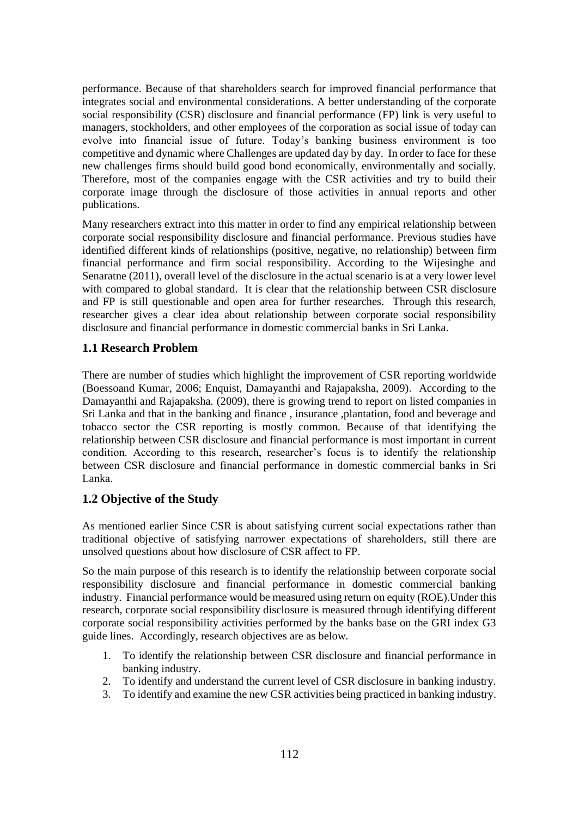performance. Because of that shareholders search for improved financial performance that integrates social and environmental considerations. A better understanding of the corporate social responsibility (CSR) disclosure and financial performance (FP) link is very useful to managers, stockholders, and other employees of the corporation as social issue of today can evolve into financial issue of future. Today's banking business environment is too competitive and dynamic where Challenges are updated day by day. In order to face for these new challenges firms should build good bond economically, environmentally and socially. Therefore, most of the companies engage with the CSR activities and try to build their corporate image through the disclosure of those activities in annual reports and other publications.

Many researchers extract into this matter in order to find any empirical relationship between corporate social responsibility disclosure and financial performance. Previous studies have identified different kinds of relationships (positive, negative, no relationship) between firm financial performance and firm social responsibility. According to the Wijesinghe and Senaratne (2011), overall level of the disclosure in the actual scenario is at a very lower level with compared to global standard. It is clear that the relationship between CSR disclosure and FP is still questionable and open area for further researches. Through this research, researcher gives a clear idea about relationship between corporate social responsibility disclosure and financial performance in domestic commercial banks in Sri Lanka.

# **1.1 Research Problem**

There are number of studies which highlight the improvement of CSR reporting worldwide (Boessoand Kumar, 2006; Enquist, Damayanthi and Rajapaksha, 2009). According to the Damayanthi and Rajapaksha. (2009), there is growing trend to report on listed companies in Sri Lanka and that in the banking and finance , insurance ,plantation, food and beverage and tobacco sector the CSR reporting is mostly common. Because of that identifying the relationship between CSR disclosure and financial performance is most important in current condition. According to this research, researcher's focus is to identify the relationship between CSR disclosure and financial performance in domestic commercial banks in Sri Lanka.

# **1.2 Objective of the Study**

As mentioned earlier Since CSR is about satisfying current social expectations rather than traditional objective of satisfying narrower expectations of shareholders, still there are unsolved questions about how disclosure of CSR affect to FP.

So the main purpose of this research is to identify the relationship between corporate social responsibility disclosure and financial performance in domestic commercial banking industry. Financial performance would be measured using return on equity (ROE).Under this research, corporate social responsibility disclosure is measured through identifying different corporate social responsibility activities performed by the banks base on the GRI index G3 guide lines. Accordingly, research objectives are as below.

- 1. To identify the relationship between CSR disclosure and financial performance in banking industry.
- 2. To identify and understand the current level of CSR disclosure in banking industry.
- 3. To identify and examine the new CSR activities being practiced in banking industry.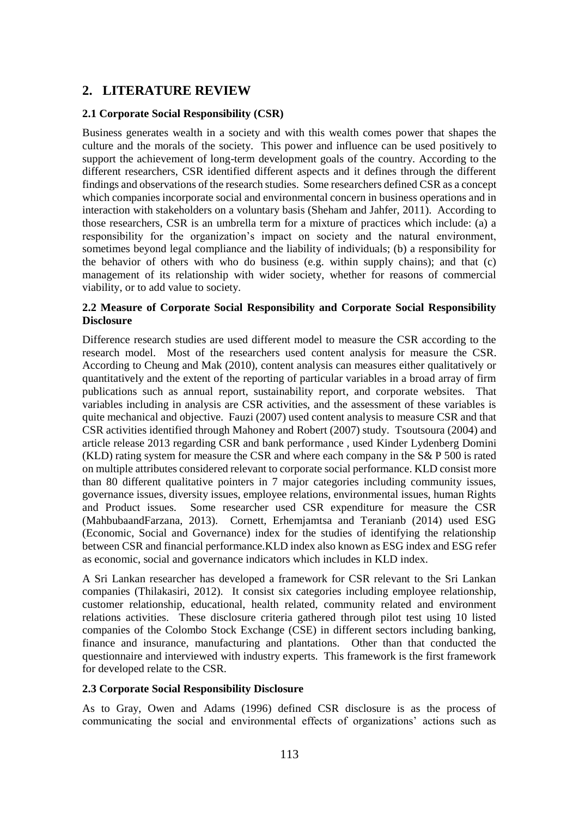# **2. LITERATURE REVIEW**

## **2.1 Corporate Social Responsibility (CSR)**

Business generates wealth in a society and with this wealth comes power that shapes the culture and the morals of the society. This power and influence can be used positively to support the achievement of long-term development goals of the country. According to the different researchers, CSR identified different aspects and it defines through the different findings and observations of the research studies. Some researchers defined CSR as a concept which companies incorporate social and environmental concern in business operations and in interaction with stakeholders on a voluntary basis (Sheham and Jahfer, 2011). According to those researchers, CSR is an umbrella term for a mixture of practices which include: (a) a responsibility for the organization's impact on society and the natural environment, sometimes beyond legal compliance and the liability of individuals; (b) a responsibility for the behavior of others with who do business (e.g. within supply chains); and that (c) management of its relationship with wider society, whether for reasons of commercial viability, or to add value to society.

## **2.2 Measure of Corporate Social Responsibility and Corporate Social Responsibility Disclosure**

Difference research studies are used different model to measure the CSR according to the research model. Most of the researchers used content analysis for measure the CSR. According to Cheung and Mak (2010), content analysis can measures either qualitatively or quantitatively and the extent of the reporting of particular variables in a broad array of firm publications such as annual report, sustainability report, and corporate websites. That variables including in analysis are CSR activities, and the assessment of these variables is quite mechanical and objective. Fauzi (2007) used content analysis to measure CSR and that CSR activities identified through Mahoney and Robert (2007) study. Tsoutsoura (2004) and article release 2013 regarding CSR and bank performance , used Kinder Lydenberg Domini (KLD) rating system for measure the CSR and where each company in the S& P 500 is rated on multiple attributes considered relevant to corporate social performance. KLD consist more than 80 different qualitative pointers in 7 major categories including community issues, governance issues, diversity issues, employee relations, environmental issues, human Rights and Product issues. Some researcher used CSR expenditure for measure the CSR (MahbubaandFarzana, 2013). Cornett, Erhemjamtsa and Teranianb (2014) used ESG (Economic, Social and Governance) index for the studies of identifying the relationship between CSR and financial performance.KLD index also known as ESG index and ESG refer as economic, social and governance indicators which includes in KLD index.

A Sri Lankan researcher has developed a framework for CSR relevant to the Sri Lankan companies (Thilakasiri, 2012). It consist six categories including employee relationship, customer relationship, educational, health related, community related and environment relations activities. These disclosure criteria gathered through pilot test using 10 listed companies of the Colombo Stock Exchange (CSE) in different sectors including banking, finance and insurance, manufacturing and plantations. Other than that conducted the questionnaire and interviewed with industry experts. This framework is the first framework for developed relate to the CSR.

#### **2.3 Corporate Social Responsibility Disclosure**

As to Gray, Owen and Adams (1996) defined CSR disclosure is as the process of communicating the social and environmental effects of organizations' actions such as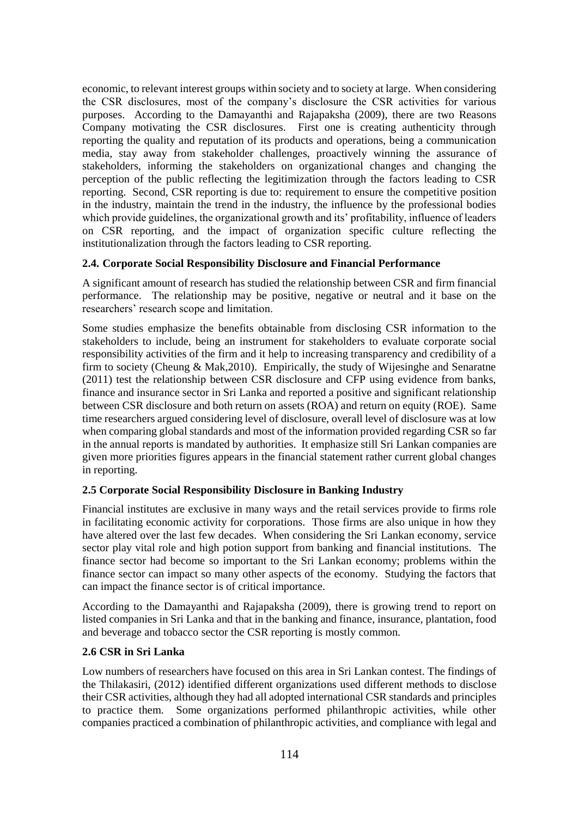economic, to relevant interest groups within society and to society at large. When considering the CSR disclosures, most of the company's disclosure the CSR activities for various purposes. According to the Damayanthi and Rajapaksha (2009), there are two Reasons Company motivating the CSR disclosures. First one is creating authenticity through reporting the quality and reputation of its products and operations, being a communication media, stay away from stakeholder challenges, proactively winning the assurance of stakeholders, informing the stakeholders on organizational changes and changing the perception of the public reflecting the legitimization through the factors leading to CSR reporting. Second, CSR reporting is due to: requirement to ensure the competitive position in the industry, maintain the trend in the industry, the influence by the professional bodies which provide guidelines, the organizational growth and its' profitability, influence of leaders on CSR reporting, and the impact of organization specific culture reflecting the institutionalization through the factors leading to CSR reporting.

# **2.4. Corporate Social Responsibility Disclosure and Financial Performance**

A significant amount of research has studied the relationship between CSR and firm financial performance. The relationship may be positive, negative or neutral and it base on the researchers' research scope and limitation.

Some studies emphasize the benefits obtainable from disclosing CSR information to the stakeholders to include, being an instrument for stakeholders to evaluate corporate social responsibility activities of the firm and it help to increasing transparency and credibility of a firm to society (Cheung & Mak,  $2010$ ). Empirically, the study of Wijesinghe and Senaratne (2011) test the relationship between CSR disclosure and CFP using evidence from banks, finance and insurance sector in Sri Lanka and reported a positive and significant relationship between CSR disclosure and both return on assets (ROA) and return on equity (ROE). Same time researchers argued considering level of disclosure, overall level of disclosure was at low when comparing global standards and most of the information provided regarding CSR so far in the annual reports is mandated by authorities. It emphasize still Sri Lankan companies are given more priorities figures appears in the financial statement rather current global changes in reporting.

# **2.5 Corporate Social Responsibility Disclosure in Banking Industry**

Financial institutes are exclusive in many ways and the retail services provide to firms role in facilitating economic activity for corporations. Those firms are also unique in how they have altered over the last few decades. When considering the Sri Lankan economy, service sector play vital role and high potion support from banking and financial institutions. The finance sector had become so important to the Sri Lankan economy; problems within the finance sector can impact so many other aspects of the economy. Studying the factors that can impact the finance sector is of critical importance.

According to the Damayanthi and Rajapaksha (2009), there is growing trend to report on listed companies in Sri Lanka and that in the banking and finance, insurance, plantation, food and beverage and tobacco sector the CSR reporting is mostly common.

# **2.6 CSR in Sri Lanka**

Low numbers of researchers have focused on this area in Sri Lankan contest. The findings of the Thilakasiri, (2012) identified different organizations used different methods to disclose their CSR activities, although they had all adopted international CSR standards and principles to practice them. Some organizations performed philanthropic activities, while other companies practiced a combination of philanthropic activities, and compliance with legal and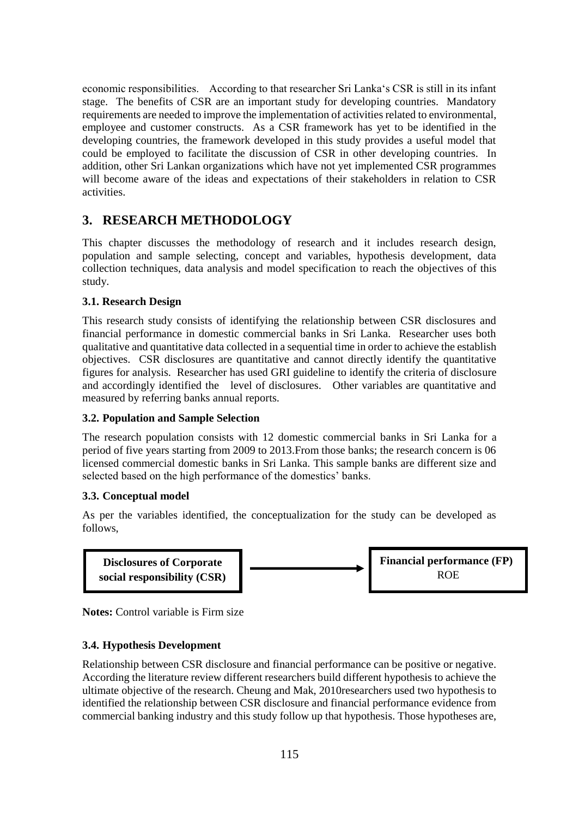economic responsibilities. According to that researcher Sri Lanka's CSR is still in its infant stage. The benefits of CSR are an important study for developing countries. Mandatory requirements are needed to improve the implementation of activities related to environmental, employee and customer constructs. As a CSR framework has yet to be identified in the developing countries, the framework developed in this study provides a useful model that could be employed to facilitate the discussion of CSR in other developing countries. In addition, other Sri Lankan organizations which have not yet implemented CSR programmes will become aware of the ideas and expectations of their stakeholders in relation to CSR activities.

# **3. RESEARCH METHODOLOGY**

This chapter discusses the methodology of research and it includes research design, population and sample selecting, concept and variables, hypothesis development, data collection techniques, data analysis and model specification to reach the objectives of this study.

# **3.1. Research Design**

This research study consists of identifying the relationship between CSR disclosures and financial performance in domestic commercial banks in Sri Lanka. Researcher uses both qualitative and quantitative data collected in a sequential time in order to achieve the establish objectives. CSR disclosures are quantitative and cannot directly identify the quantitative figures for analysis. Researcher has used GRI guideline to identify the criteria of disclosure and accordingly identified the level of disclosures. Other variables are quantitative and measured by referring banks annual reports.

# **3.2. Population and Sample Selection**

The research population consists with 12 domestic commercial banks in Sri Lanka for a period of five years starting from 2009 to 2013.From those banks; the research concern is 06 licensed commercial domestic banks in Sri Lanka. This sample banks are different size and selected based on the high performance of the domestics' banks.

# **3.3. Conceptual model**

As per the variables identified, the conceptualization for the study can be developed as follows,



**Notes:** Control variable is Firm size

# **3.4. Hypothesis Development**

Relationship between CSR disclosure and financial performance can be positive or negative. According the literature review different researchers build different hypothesis to achieve the ultimate objective of the research. Cheung and Mak, 2010researchers used two hypothesis to identified the relationship between CSR disclosure and financial performance evidence from commercial banking industry and this study follow up that hypothesis. Those hypotheses are,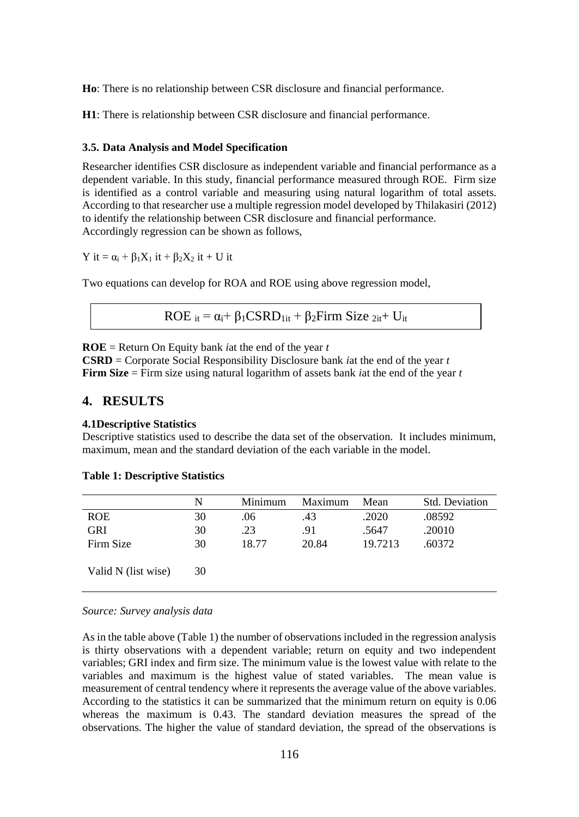**Ho**: There is no relationship between CSR disclosure and financial performance.

**H1**: There is relationship between CSR disclosure and financial performance.

#### **3.5. Data Analysis and Model Specification**

Researcher identifies CSR disclosure as independent variable and financial performance as a dependent variable. In this study, financial performance measured through ROE. Firm size is identified as a control variable and measuring using natural logarithm of total assets. According to that researcher use a multiple regression model developed by Thilakasiri (2012) to identify the relationship between CSR disclosure and financial performance. Accordingly regression can be shown as follows,

Y it =  $\alpha_i$  +  $\beta_1X_1$  it +  $\beta_2X_2$  it + U it

Two equations can develop for ROA and ROE using above regression model,

ROE it =  $\alpha_i$ +  $\beta_1$ CSRD<sub>1it</sub> +  $\beta_2$ Firm Size <sub>2it</sub>+ U<sub>it</sub>

**ROE** = Return On Equity bank *i*at the end of the year *t*

**CSRD** = Corporate Social Responsibility Disclosure bank *i*at the end of the year *t* **Firm Size** = Firm size using natural logarithm of assets bank *i*at the end of the year *t*

# **4. RESULTS**

#### **4.1Descriptive Statistics**

Descriptive statistics used to describe the data set of the observation. It includes minimum, maximum, mean and the standard deviation of the each variable in the model.

|                     | N  | Minimum | Maximum | Mean    | Std. Deviation |
|---------------------|----|---------|---------|---------|----------------|
| <b>ROE</b>          | 30 | .06     | .43     | .2020   | .08592         |
| <b>GRI</b>          | 30 | .23     | .91     | .5647   | .20010         |
| Firm Size           | 30 | 18.77   | 20.84   | 19.7213 | .60372         |
| Valid N (list wise) | 30 |         |         |         |                |

#### **Table 1: Descriptive Statistics**

#### *Source: Survey analysis data*

As in the table above (Table 1) the number of observations included in the regression analysis is thirty observations with a dependent variable; return on equity and two independent variables; GRI index and firm size. The minimum value is the lowest value with relate to the variables and maximum is the highest value of stated variables. The mean value is measurement of central tendency where it represents the average value of the above variables. According to the statistics it can be summarized that the minimum return on equity is 0.06 whereas the maximum is 0.43. The standard deviation measures the spread of the observations. The higher the value of standard deviation, the spread of the observations is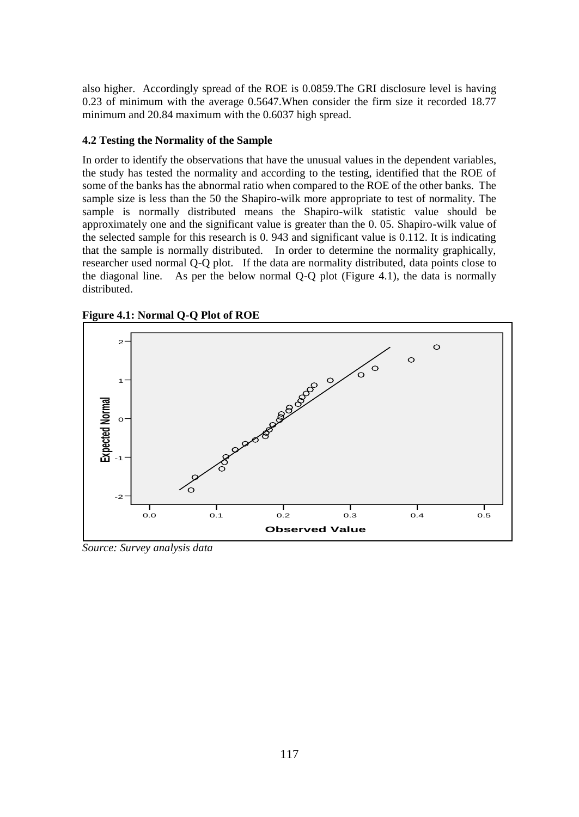also higher. Accordingly spread of the ROE is 0.0859.The GRI disclosure level is having 0.23 of minimum with the average 0.5647.When consider the firm size it recorded 18.77 minimum and 20.84 maximum with the 0.6037 high spread.

## **4.2 Testing the Normality of the Sample**

In order to identify the observations that have the unusual values in the dependent variables, the study has tested the normality and according to the testing, identified that the ROE of some of the banks has the abnormal ratio when compared to the ROE of the other banks. The sample size is less than the 50 the Shapiro-wilk more appropriate to test of normality. The sample is normally distributed means the Shapiro-wilk statistic value should be approximately one and the significant value is greater than the 0. 05. Shapiro-wilk value of the selected sample for this research is 0. 943 and significant value is 0.112. It is indicating that the sample is normally distributed. In order to determine the normality graphically, researcher used normal Q-Q plot. If the data are normality distributed, data points close to the diagonal line. As per the below normal Q-Q plot (Figure 4.1), the data is normally distributed.



**Figure 4.1: Normal Q-Q Plot of ROE Normal Q-Q Plot of ROE**

*Source: Survey analysis data*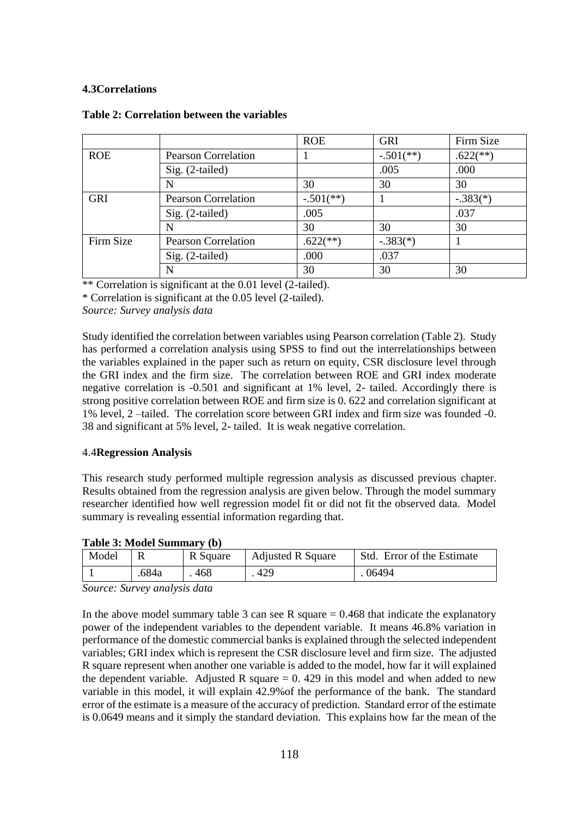# **4.3Correlations**

|            |                            | <b>ROE</b>             | <b>GRI</b>                | Firm Size                |
|------------|----------------------------|------------------------|---------------------------|--------------------------|
| <b>ROE</b> | <b>Pearson Correlation</b> |                        | $-.501$ <sup>(**)</sup> ) | $.622$ <sup>(**)</sup> ) |
|            | Sig. (2-tailed)            |                        | .005                      | .000                     |
|            | N                          | 30                     | 30                        | 30                       |
| <b>GRI</b> | <b>Pearson Correlation</b> | $-.501$ (**)           |                           | $-.383(*)$               |
|            | Sig. (2-tailed)            | .005                   |                           | .037                     |
|            | N                          | 30                     | 30                        | 30                       |
| Firm Size  | <b>Pearson Correlation</b> | $.622$ <sup>**</sup> ) | $-.383(*)$                |                          |
|            | Sig. (2-tailed)            | .000                   | .037                      |                          |
|            | N                          | 30                     | 30                        | 30                       |

#### **Table 2: Correlation between the variables**

\*\* Correlation is significant at the 0.01 level (2-tailed).

\* Correlation is significant at the 0.05 level (2-tailed).

*Source: Survey analysis data*

Study identified the correlation between variables using Pearson correlation (Table 2). Study has performed a correlation analysis using SPSS to find out the interrelationships between the variables explained in the paper such as return on equity, CSR disclosure level through the GRI index and the firm size. The correlation between ROE and GRI index moderate negative correlation is -0.501 and significant at 1% level, 2- tailed. Accordingly there is strong positive correlation between ROE and firm size is 0. 622 and correlation significant at 1% level, 2 –tailed. The correlation score between GRI index and firm size was founded -0. 38 and significant at 5% level, 2- tailed. It is weak negative correlation.

#### 4.4**Regression Analysis**

This research study performed multiple regression analysis as discussed previous chapter. Results obtained from the regression analysis are given below. Through the model summary researcher identified how well regression model fit or did not fit the observed data. Model summary is revealing essential information regarding that.

|  |  |  | Table 3: Model Summary (b) |  |
|--|--|--|----------------------------|--|
|--|--|--|----------------------------|--|

| Model |       | R Square | <b>Adjusted R Square</b> | Std. Error of the Estimate |
|-------|-------|----------|--------------------------|----------------------------|
|       | .684a | 468      | 429                      | 06494                      |

*Source: Survey analysis data*

In the above model summary table 3 can see R square  $= 0.468$  that indicate the explanatory power of the independent variables to the dependent variable. It means 46.8% variation in performance of the domestic commercial banks is explained through the selected independent variables; GRI index which is represent the CSR disclosure level and firm size. The adjusted R square represent when another one variable is added to the model, how far it will explained the dependent variable. Adjusted R square  $= 0.429$  in this model and when added to new variable in this model, it will explain 42.9%of the performance of the bank. The standard error of the estimate is a measure of the accuracy of prediction. Standard error of the estimate is 0.0649 means and it simply the standard deviation. This explains how far the mean of the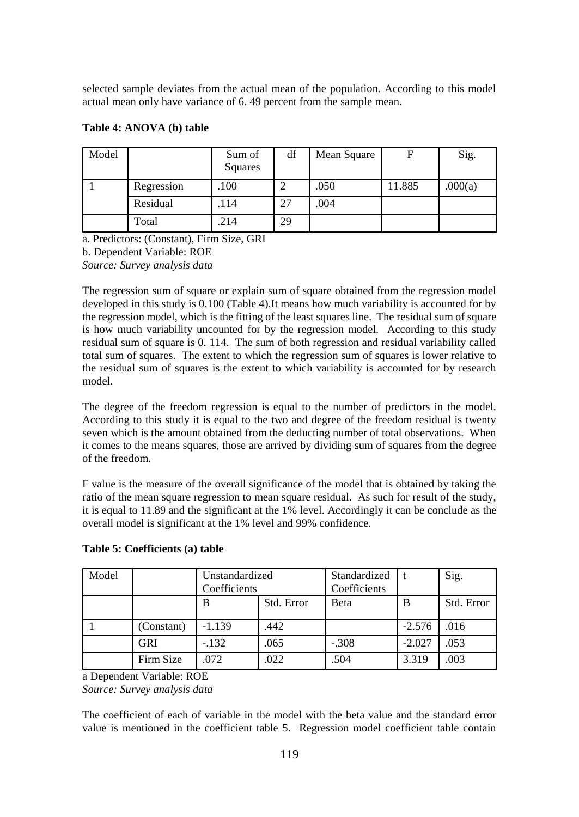selected sample deviates from the actual mean of the population. According to this model actual mean only have variance of 6. 49 percent from the sample mean.

| Model |            | Sum of<br>Squares | df | Mean Square | F      | Sig.    |
|-------|------------|-------------------|----|-------------|--------|---------|
|       | Regression | .100              | 2  | .050        | 11.885 | .000(a) |
|       | Residual   | .114              | 27 | .004        |        |         |
|       | Total      | .214              | 29 |             |        |         |

#### **Table 4: ANOVA (b) table**

a. Predictors: (Constant), Firm Size, GRI

b. Dependent Variable: ROE

*Source: Survey analysis data*

The regression sum of square or explain sum of square obtained from the regression model developed in this study is 0.100 (Table 4).It means how much variability is accounted for by the regression model, which is the fitting of the least squares line. The residual sum of square is how much variability uncounted for by the regression model. According to this study residual sum of square is 0. 114. The sum of both regression and residual variability called total sum of squares. The extent to which the regression sum of squares is lower relative to the residual sum of squares is the extent to which variability is accounted for by research model.

The degree of the freedom regression is equal to the number of predictors in the model. According to this study it is equal to the two and degree of the freedom residual is twenty seven which is the amount obtained from the deducting number of total observations. When it comes to the means squares, those are arrived by dividing sum of squares from the degree of the freedom.

F value is the measure of the overall significance of the model that is obtained by taking the ratio of the mean square regression to mean square residual. As such for result of the study, it is equal to 11.89 and the significant at the 1% level. Accordingly it can be conclude as the overall model is significant at the 1% level and 99% confidence.

| Model |            | Unstandardized<br>Coefficients |            | Standardized<br>Coefficients |          | Sig.       |
|-------|------------|--------------------------------|------------|------------------------------|----------|------------|
|       |            | B                              | Std. Error | Beta                         | B        | Std. Error |
|       | (Constant) | $-1.139$                       | .442       |                              | $-2.576$ | .016       |
|       | <b>GRI</b> | $-.132$                        | .065       | $-.308$                      | $-2.027$ | .053       |
|       | Firm Size  | .072                           | .022       | .504                         | 3.319    | .003       |

# **Table 5: Coefficients (a) table**

a Dependent Variable: ROE *Source: Survey analysis data*

The coefficient of each of variable in the model with the beta value and the standard error value is mentioned in the coefficient table 5. Regression model coefficient table contain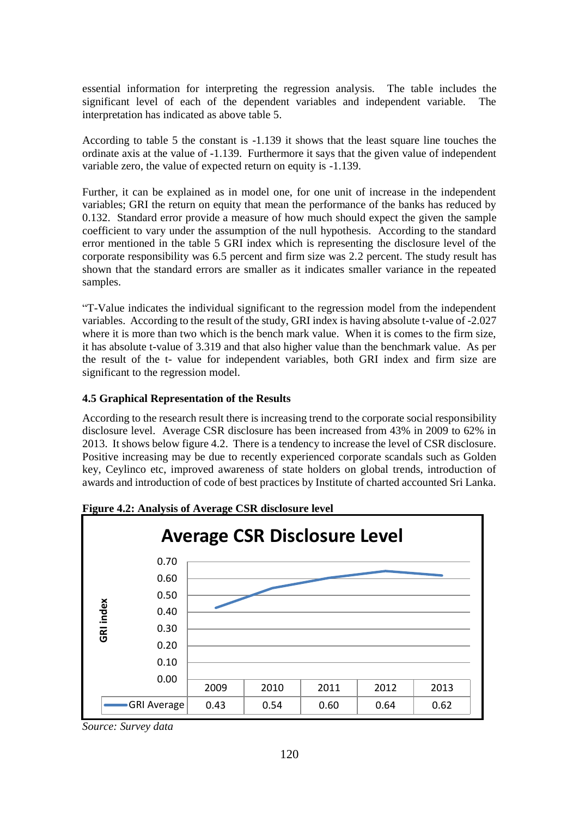essential information for interpreting the regression analysis. The table includes the significant level of each of the dependent variables and independent variable. The interpretation has indicated as above table 5.

According to table 5 the constant is -1.139 it shows that the least square line touches the ordinate axis at the value of -1.139. Furthermore it says that the given value of independent variable zero, the value of expected return on equity is -1.139.

Further, it can be explained as in model one, for one unit of increase in the independent variables; GRI the return on equity that mean the performance of the banks has reduced by 0.132. Standard error provide a measure of how much should expect the given the sample coefficient to vary under the assumption of the null hypothesis. According to the standard error mentioned in the table 5 GRI index which is representing the disclosure level of the corporate responsibility was 6.5 percent and firm size was 2.2 percent. The study result has shown that the standard errors are smaller as it indicates smaller variance in the repeated samples.

"T-Value indicates the individual significant to the regression model from the independent variables. According to the result of the study, GRI index is having absolute t-value of -2.027 where it is more than two which is the bench mark value. When it is comes to the firm size, it has absolute t-value of 3.319 and that also higher value than the benchmark value. As per the result of the t- value for independent variables, both GRI index and firm size are significant to the regression model.

# **4.5 Graphical Representation of the Results**

According to the research result there is increasing trend to the corporate social responsibility disclosure level. Average CSR disclosure has been increased from 43% in 2009 to 62% in 2013. It shows below figure 4.2. There is a tendency to increase the level of CSR disclosure. Positive increasing may be due to recently experienced corporate scandals such as Golden key, Ceylinco etc, improved awareness of state holders on global trends, introduction of awards and introduction of code of best practices by Institute of charted accounted Sri Lanka.





*Source: Survey data*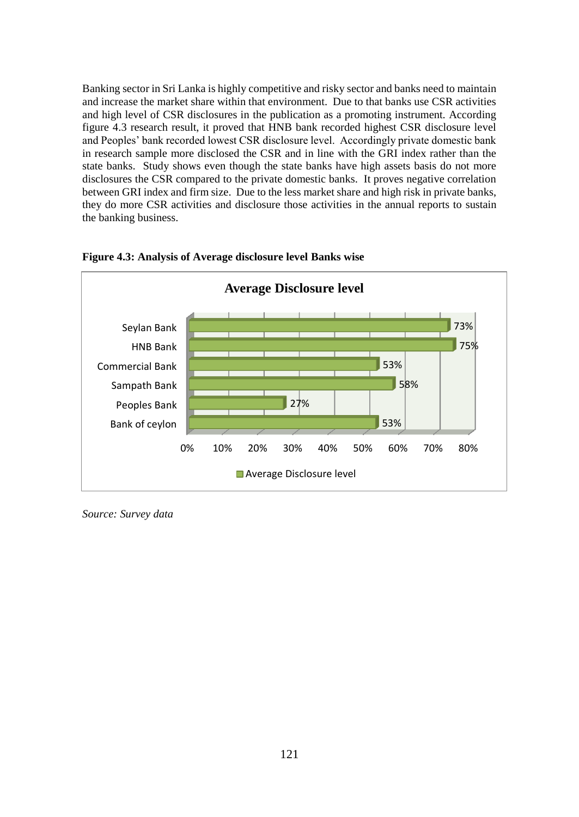Banking sector in Sri Lanka is highly competitive and risky sector and banks need to maintain and increase the market share within that environment. Due to that banks use CSR activities and high level of CSR disclosures in the publication as a promoting instrument. According figure 4.3 research result, it proved that HNB bank recorded highest CSR disclosure level and Peoples' bank recorded lowest CSR disclosure level. Accordingly private domestic bank in research sample more disclosed the CSR and in line with the GRI index rather than the state banks. Study shows even though the state banks have high assets basis do not more disclosures the CSR compared to the private domestic banks. It proves negative correlation between GRI index and firm size. Due to the less market share and high risk in private banks, they do more CSR activities and disclosure those activities in the annual reports to sustain the banking business.



#### **Figure 4.3: Analysis of Average disclosure level Banks wise**

*Source: Survey data*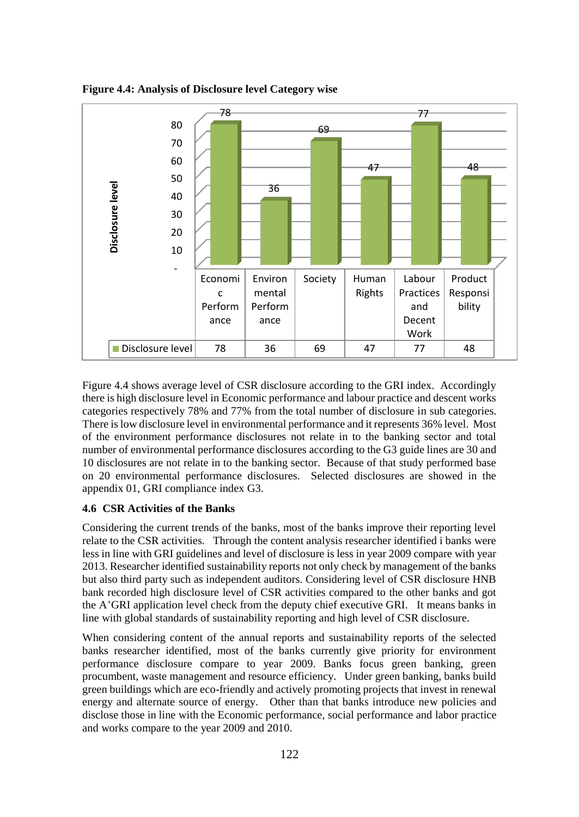

**Figure 4.4: Analysis of Disclosure level Category wise**

Figure 4.4 shows average level of CSR disclosure according to the GRI index. Accordingly there is high disclosure level in Economic performance and labour practice and descent works categories respectively 78% and 77% from the total number of disclosure in sub categories. There is low disclosure level in environmental performance and it represents 36% level. Most of the environment performance disclosures not relate in to the banking sector and total number of environmental performance disclosures according to the G3 guide lines are 30 and 10 disclosures are not relate in to the banking sector. Because of that study performed base on 20 environmental performance disclosures. Selected disclosures are showed in the appendix 01, GRI compliance index G3.

### **4.6 CSR Activities of the Banks**

Considering the current trends of the banks, most of the banks improve their reporting level relate to the CSR activities. Through the content analysis researcher identified i banks were less in line with GRI guidelines and level of disclosure is less in year 2009 compare with year 2013. Researcher identified sustainability reports not only check by management of the banks but also third party such as independent auditors. Considering level of CSR disclosure HNB bank recorded high disclosure level of CSR activities compared to the other banks and got the  $A<sup>+</sup>GRI$  application level check from the deputy chief executive GRI. It means banks in line with global standards of sustainability reporting and high level of CSR disclosure.

When considering content of the annual reports and sustainability reports of the selected banks researcher identified, most of the banks currently give priority for environment performance disclosure compare to year 2009. Banks focus green banking, green procumbent, waste management and resource efficiency. Under green banking, banks build green buildings which are eco-friendly and actively promoting projects that invest in renewal energy and alternate source of energy. Other than that banks introduce new policies and disclose those in line with the Economic performance, social performance and labor practice and works compare to the year 2009 and 2010.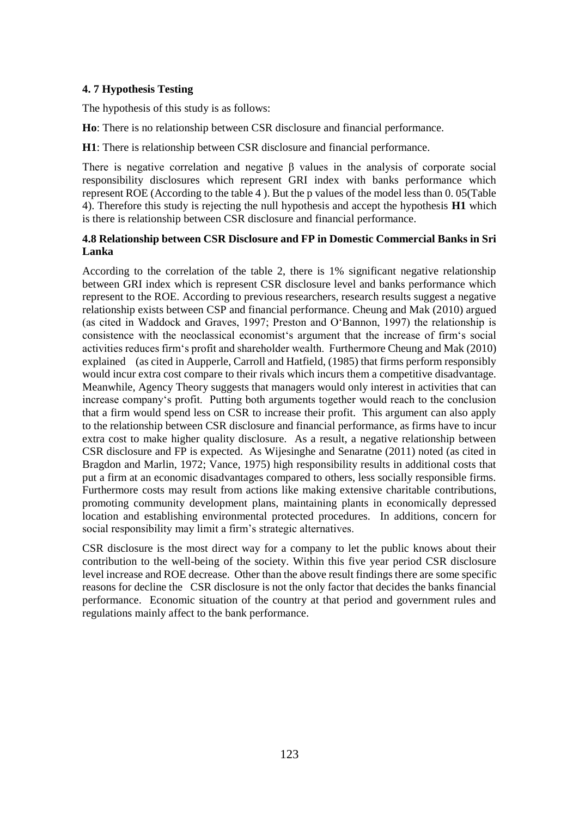# **4. 7 Hypothesis Testing**

The hypothesis of this study is as follows:

**Ho**: There is no relationship between CSR disclosure and financial performance.

**H1**: There is relationship between CSR disclosure and financial performance.

There is negative correlation and negative β values in the analysis of corporate social responsibility disclosures which represent GRI index with banks performance which represent ROE (According to the table 4 ). But the p values of the model less than 0. 05(Table 4). Therefore this study is rejecting the null hypothesis and accept the hypothesis **H1** which is there is relationship between CSR disclosure and financial performance.

# **4.8 Relationship between CSR Disclosure and FP in Domestic Commercial Banks in Sri Lanka**

According to the correlation of the table 2, there is 1% significant negative relationship between GRI index which is represent CSR disclosure level and banks performance which represent to the ROE. According to previous researchers, research results suggest a negative relationship exists between CSP and financial performance. Cheung and Mak (2010) argued (as cited in Waddock and Graves, 1997; Preston and O'Bannon, 1997) the relationship is consistence with the neoclassical economist's argument that the increase of firm's social activities reduces firm's profit and shareholder wealth. Furthermore Cheung and Mak (2010) explained (as cited in Aupperle, Carroll and Hatfield, (1985) that firms perform responsibly would incur extra cost compare to their rivals which incurs them a competitive disadvantage. Meanwhile, Agency Theory suggests that managers would only interest in activities that can increase company's profit. Putting both arguments together would reach to the conclusion that a firm would spend less on CSR to increase their profit. This argument can also apply to the relationship between CSR disclosure and financial performance, as firms have to incur extra cost to make higher quality disclosure. As a result, a negative relationship between CSR disclosure and FP is expected. As Wijesinghe and Senaratne (2011) noted (as cited in Bragdon and Marlin, 1972; Vance, 1975) high responsibility results in additional costs that put a firm at an economic disadvantages compared to others, less socially responsible firms. Furthermore costs may result from actions like making extensive charitable contributions, promoting community development plans, maintaining plants in economically depressed location and establishing environmental protected procedures. In additions, concern for social responsibility may limit a firm's strategic alternatives.

CSR disclosure is the most direct way for a company to let the public knows about their contribution to the well-being of the society. Within this five year period CSR disclosure level increase and ROE decrease. Other than the above result findings there are some specific reasons for decline the CSR disclosure is not the only factor that decides the banks financial performance. Economic situation of the country at that period and government rules and regulations mainly affect to the bank performance.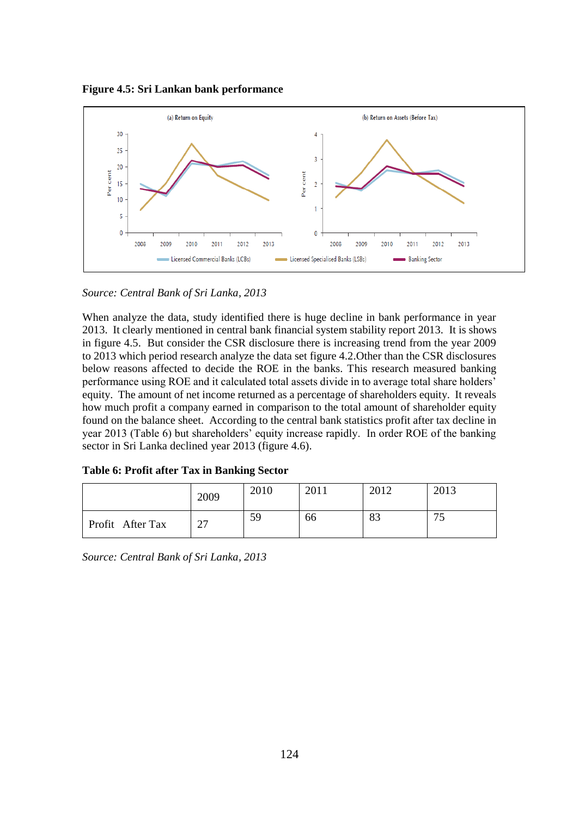**Figure 4.5: Sri Lankan bank performance**



*Source: Central Bank of Sri Lanka, 2013*

When analyze the data, study identified there is huge decline in bank performance in year 2013. It clearly mentioned in central bank financial system stability report 2013. It is shows in figure 4.5. But consider the CSR disclosure there is increasing trend from the year 2009 to 2013 which period research analyze the data set figure 4.2.Other than the CSR disclosures below reasons affected to decide the ROE in the banks. This research measured banking performance using ROE and it calculated total assets divide in to average total share holders' equity. The amount of net income returned as a percentage of shareholders equity. It reveals how much profit a company earned in comparison to the total amount of shareholder equity found on the balance sheet. According to the central bank statistics profit after tax decline in year 2013 (Table 6) but shareholders' equity increase rapidly. In order ROE of the banking sector in Sri Lanka declined year 2013 (figure 4.6).

|                  | 2009                     | 2010 | 2011 | 2012 | 2013 |
|------------------|--------------------------|------|------|------|------|
| Profit After Tax | $\overline{\phantom{a}}$ | 59   | 66   | 83   |      |

**Table 6: Profit after Tax in Banking Sector**

*Source: Central Bank of Sri Lanka, 2013*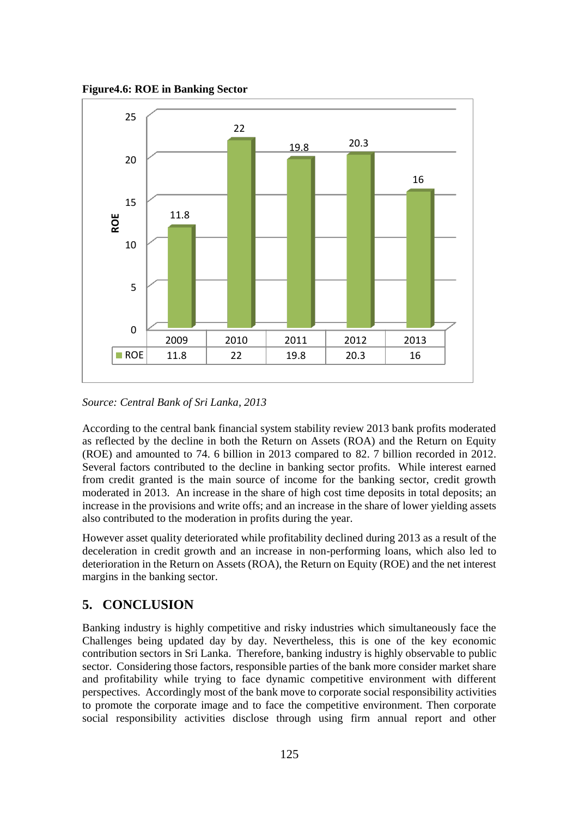**Figure4.6: ROE in Banking Sector**



*Source: Central Bank of Sri Lanka, 2013*

According to the central bank financial system stability review 2013 bank profits moderated as reflected by the decline in both the Return on Assets (ROA) and the Return on Equity (ROE) and amounted to 74. 6 billion in 2013 compared to 82. 7 billion recorded in 2012. Several factors contributed to the decline in banking sector profits. While interest earned from credit granted is the main source of income for the banking sector, credit growth moderated in 2013. An increase in the share of high cost time deposits in total deposits; an increase in the provisions and write offs; and an increase in the share of lower yielding assets also contributed to the moderation in profits during the year.

However asset quality deteriorated while profitability declined during 2013 as a result of the deceleration in credit growth and an increase in non-performing loans, which also led to deterioration in the Return on Assets (ROA), the Return on Equity (ROE) and the net interest margins in the banking sector.

# **5. CONCLUSION**

Banking industry is highly competitive and risky industries which simultaneously face the Challenges being updated day by day. Nevertheless, this is one of the key economic contribution sectors in Sri Lanka. Therefore, banking industry is highly observable to public sector. Considering those factors, responsible parties of the bank more consider market share and profitability while trying to face dynamic competitive environment with different perspectives. Accordingly most of the bank move to corporate social responsibility activities to promote the corporate image and to face the competitive environment. Then corporate social responsibility activities disclose through using firm annual report and other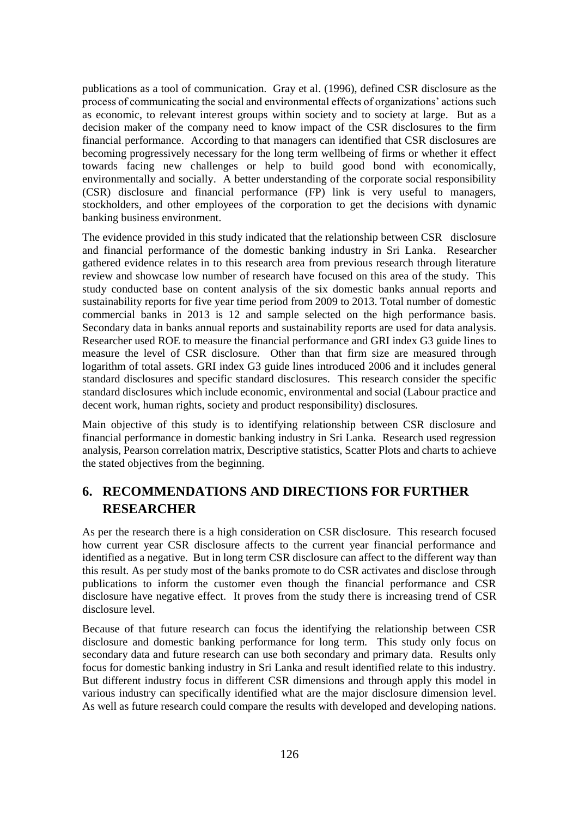publications as a tool of communication. Gray et al. (1996), defined CSR disclosure as the process of communicating the social and environmental effects of organizations' actions such as economic, to relevant interest groups within society and to society at large. But as a decision maker of the company need to know impact of the CSR disclosures to the firm financial performance. According to that managers can identified that CSR disclosures are becoming progressively necessary for the long term wellbeing of firms or whether it effect towards facing new challenges or help to build good bond with economically, environmentally and socially. A better understanding of the corporate social responsibility (CSR) disclosure and financial performance (FP) link is very useful to managers, stockholders, and other employees of the corporation to get the decisions with dynamic banking business environment.

The evidence provided in this study indicated that the relationship between CSR disclosure and financial performance of the domestic banking industry in Sri Lanka. Researcher gathered evidence relates in to this research area from previous research through literature review and showcase low number of research have focused on this area of the study. This study conducted base on content analysis of the six domestic banks annual reports and sustainability reports for five year time period from 2009 to 2013. Total number of domestic commercial banks in 2013 is 12 and sample selected on the high performance basis. Secondary data in banks annual reports and sustainability reports are used for data analysis. Researcher used ROE to measure the financial performance and GRI index G3 guide lines to measure the level of CSR disclosure. Other than that firm size are measured through logarithm of total assets. GRI index G3 guide lines introduced 2006 and it includes general standard disclosures and specific standard disclosures. This research consider the specific standard disclosures which include economic, environmental and social (Labour practice and decent work, human rights, society and product responsibility) disclosures.

Main objective of this study is to identifying relationship between CSR disclosure and financial performance in domestic banking industry in Sri Lanka. Research used regression analysis, Pearson correlation matrix, Descriptive statistics, Scatter Plots and charts to achieve the stated objectives from the beginning.

# **6. RECOMMENDATIONS AND DIRECTIONS FOR FURTHER RESEARCHER**

As per the research there is a high consideration on CSR disclosure. This research focused how current year CSR disclosure affects to the current year financial performance and identified as a negative. But in long term CSR disclosure can affect to the different way than this result. As per study most of the banks promote to do CSR activates and disclose through publications to inform the customer even though the financial performance and CSR disclosure have negative effect. It proves from the study there is increasing trend of CSR disclosure level.

Because of that future research can focus the identifying the relationship between CSR disclosure and domestic banking performance for long term. This study only focus on secondary data and future research can use both secondary and primary data. Results only focus for domestic banking industry in Sri Lanka and result identified relate to this industry. But different industry focus in different CSR dimensions and through apply this model in various industry can specifically identified what are the major disclosure dimension level. As well as future research could compare the results with developed and developing nations.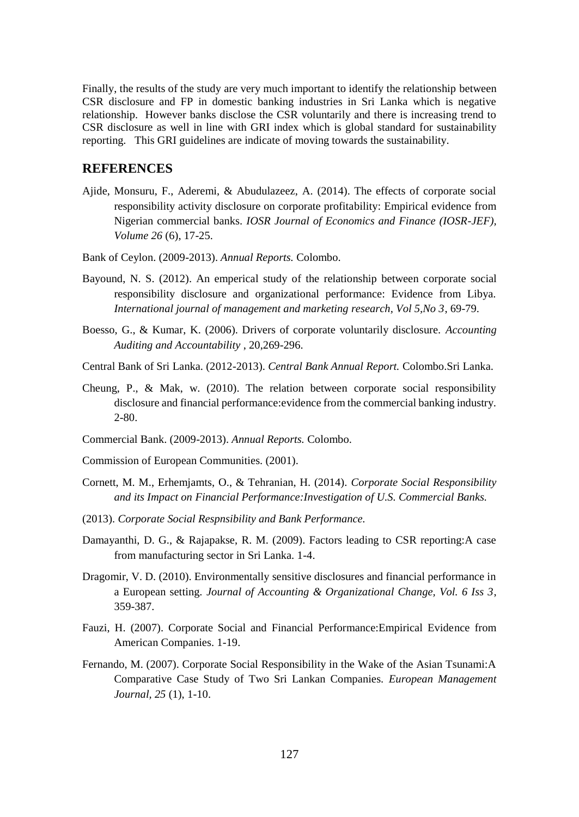Finally, the results of the study are very much important to identify the relationship between CSR disclosure and FP in domestic banking industries in Sri Lanka which is negative relationship. However banks disclose the CSR voluntarily and there is increasing trend to CSR disclosure as well in line with GRI index which is global standard for sustainability reporting. This GRI guidelines are indicate of moving towards the sustainability.

# **REFERENCES**

- Ajide, Monsuru, F., Aderemi, & Abudulazeez, A. (2014). The effects of corporate social responsibility activity disclosure on corporate profitability: Empirical evidence from Nigerian commercial banks. *IOSR Journal of Economics and Finance (IOSR-JEF), Volume 26* (6), 17-25.
- Bank of Ceylon. (2009-2013). *Annual Reports.* Colombo.
- Bayound, N. S. (2012). An emperical study of the relationship between corporate social responsibility disclosure and organizational performance: Evidence from Libya. *International journal of management and marketing research, Vol 5,No 3*, 69-79.
- Boesso, G., & Kumar, K. (2006). Drivers of corporate voluntarily disclosure. *Accounting Auditing and Accountability* , 20,269-296.
- Central Bank of Sri Lanka. (2012-2013). *Central Bank Annual Report.* Colombo.Sri Lanka.
- Cheung, P., & Mak, w. (2010). The relation between corporate social responsibility disclosure and financial performance:evidence from the commercial banking industry. 2-80.
- Commercial Bank. (2009-2013). *Annual Reports.* Colombo.
- Commission of European Communities. (2001).
- Cornett, M. M., Erhemjamts, O., & Tehranian, H. (2014). *Corporate Social Responsibility and its Impact on Financial Performance:Investigation of U.S. Commercial Banks.*
- (2013). *Corporate Social Respnsibility and Bank Performance.*
- Damayanthi, D. G., & Rajapakse, R. M. (2009). Factors leading to CSR reporting:A case from manufacturing sector in Sri Lanka. 1-4.
- Dragomir, V. D. (2010). Environmentally sensitive disclosures and financial performance in a European setting. *Journal of Accounting & Organizational Change, Vol. 6 Iss 3*, 359-387.
- Fauzi, H. (2007). Corporate Social and Financial Performance:Empirical Evidence from American Companies. 1-19.
- Fernando, M. (2007). Corporate Social Responsibility in the Wake of the Asian Tsunami:A Comparative Case Study of Two Sri Lankan Companies. *European Management Journal, 25* (1), 1-10.